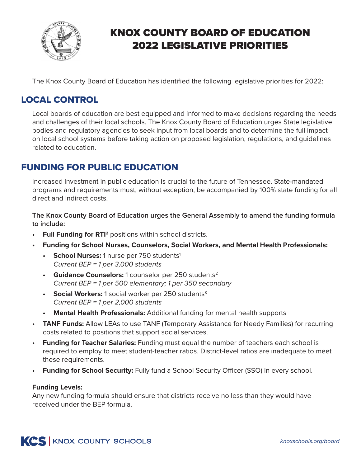

# KNOX COUNTY BOARD OF EDUCATION 2022 LEGISLATIVE PRIORITIES

The Knox County Board of Education has identified the following legislative priorities for 2022:

# LOCAL CONTROL

Local boards of education are best equipped and informed to make decisions regarding the needs and challenges of their local schools. The Knox County Board of Education urges State legislative bodies and regulatory agencies to seek input from local boards and to determine the full impact on local school systems before taking action on proposed legislation, regulations, and guidelines related to education.

# FUNDING FOR PUBLIC EDUCATION

Increased investment in public education is crucial to the future of Tennessee. State-mandated programs and requirements must, without exception, be accompanied by 100% state funding for all direct and indirect costs.

**The Knox County Board of Education urges the General Assembly to amend the funding formula to include:**

- **• Full Funding for RTI2** positions within school districts.
- **• Funding for School Nurses, Counselors, Social Workers, and Mental Health Professionals:**
	- **School Nurses:** 1 nurse per 750 students<sup>1</sup> *Current BEP = 1 per 3,000 students*
	- **• Guidance Counselors:** 1 counselor per 250 students2 *Current BEP = 1 per 500 elementary; 1 per 350 secondary*
	- **Social Workers:** 1 social worker per 250 students<sup>3</sup> *Current BEP = 1 per 2,000 students*
	- **• Mental Health Professionals:** Additional funding for mental health supports
- **• TANF Funds:** Allow LEAs to use TANF (Temporary Assistance for Needy Families) for recurring costs related to positions that support social services.
- **• Funding for Teacher Salaries:** Funding must equal the number of teachers each school is required to employ to meet student-teacher ratios. District-level ratios are inadequate to meet these requirements.
- **• Funding for School Security:** Fully fund a School Security Officer (SSO) in every school.

#### **Funding Levels:**

Any new funding formula should ensure that districts receive no less than they would have received under the BEP formula.